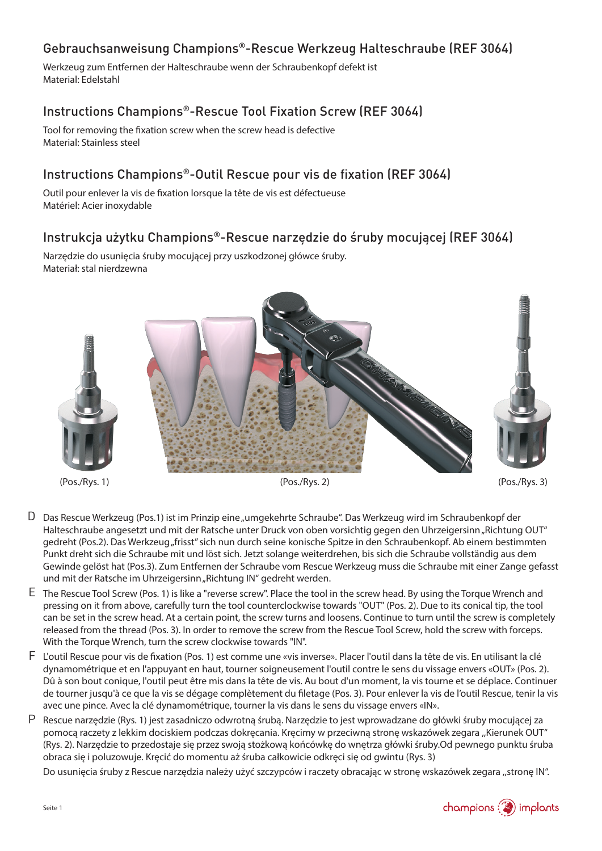# Gebrauchsanweisung Champions®-Rescue Werkzeug Halteschraube (REF 3064)

Werkzeug zum Entfernen der Halteschraube wenn der Schraubenkopf defekt ist Material: Edelstahl

# Instructions Champions®-Rescue Tool Fixation Screw (REF 3064)

Tool for removing the fixation screw when the screw head is defective Material: Stainless steel

### Instructions Champions®-Outil Rescue pour vis de fixation (REF 3064)

Outil pour enlever la vis de fixation lorsque la tête de vis est défectueuse Matériel: Acier inoxydable

# Instrukcja użytku Champions®-Rescue narzędzie do śruby mocującej (REF 3064)

Narzędzie do usunięcia śruby mocującej przy uszkodzonej główce śruby. Materiał: stal nierdzewna



- D Das Rescue Werkzeug (Pos.1) ist im Prinzip eine "umgekehrte Schraube". Das Werkzeug wird im Schraubenkopf der Halteschraube angesetzt und mit der Ratsche unter Druck von oben vorsichtig gegen den Uhrzeigersinn "Richtung OUT" gedreht (Pos.2). Das Werkzeug "frisst" sich nun durch seine konische Spitze in den Schraubenkopf. Ab einem bestimmten Punkt dreht sich die Schraube mit und löst sich. Jetzt solange weiterdrehen, bis sich die Schraube vollständig aus dem Gewinde gelöst hat (Pos.3). Zum Entfernen der Schraube vom Rescue Werkzeug muss die Schraube mit einer Zange gefasst und mit der Ratsche im Uhrzeigersinn "Richtung IN" gedreht werden.
- E The Rescue Tool Screw (Pos. 1) is like a "reverse screw". Place the tool in the screw head. By using the Torque Wrench and pressing on it from above, carefully turn the tool counterclockwise towards "OUT" (Pos. 2). Due to its conical tip, the tool can be set in the screw head. At a certain point, the screw turns and loosens. Continue to turn until the screw is completely released from the thread (Pos. 3). In order to remove the screw from the Rescue Tool Screw, hold the screw with forceps. With the Torque Wrench, turn the screw clockwise towards "IN".
- F L'outil Rescue pour vis de fixation (Pos. 1) est comme une «vis inverse». Placer l'outil dans la tête de vis. En utilisant la clé dynamométrique et en l'appuyant en haut, tourner soigneusement l'outil contre le sens du vissage envers «OUT» (Pos. 2). Dû à son bout conique, l'outil peut être mis dans la tête de vis. Au bout d'un moment, la vis tourne et se déplace. Continuer de tourner jusqu'à ce que la vis se dégage complètement du filetage (Pos. 3). Pour enlever la vis de l'outil Rescue, tenir la vis avec une pince. Avec la clé dynamométrique, tourner la vis dans le sens du vissage envers «IN».
- Rescue narzędzie (Rys. 1) jest zasadniczo odwrotną śrubą. Narzędzie to jest wprowadzane do główki śruby mocującej za pomocą raczety z lekkim dociskiem podczas dokręcania. Kręcimy w przeciwną stronę wskazówek zegara "Kierunek OUT" (Rys. 2). Narzędzie to przedostaje się przez swoją stożkową końcówkę do wnętrza główki śruby.Od pewnego punktu śruba obraca się i poluzowuje. Kręcić do momentu aż śruba całkowicie odkręci się od gwintu (Rys. 3) P

Do usunięcia śruby z Rescue narzędzia należy użyć szczypców i raczety obracając w stronę wskazówek zegara ,,stronę IN".